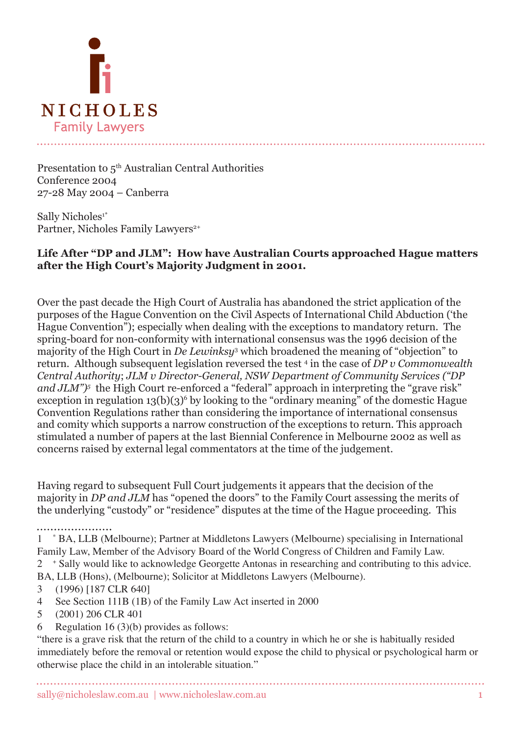

Presentation to 5<sup>th</sup> Australian Central Authorities Conference 2004 27-28 May 2004 – Canberra

Sally Nicholes<sup>1\*</sup> Partner, Nicholes Family Lawyers<sup>2+</sup>

### **Life After "DP and JLM": How have Australian Courts approached Hague matters after the High Court's Majority Judgment in 2001.**

Over the past decade the High Court of Australia has abandoned the strict application of the purposes of the Hague Convention on the Civil Aspects of International Child Abduction ('the Hague Convention"); especially when dealing with the exceptions to mandatory return. The spring-board for non-conformity with international consensus was the 1996 decision of the majority of the High Court in *De Lewinksy* which broadened the meaning of "objection" to return. Although subsequent legislation reversed the test<sup>4</sup> in the case of *DP v Commonwealth Central Authority*; *JLM v Director-General, NSW Department of Community Services ("DP and JLM"*)<sup> $5$ </sup> the High Court re-enforced a "federal" approach in interpreting the "grave risk" exception in regulation  $13(b)(3)^6$  by looking to the "ordinary meaning" of the domestic Hague Convention Regulations rather than considering the importance of international consensus and comity which supports a narrow construction of the exceptions to return. This approach stimulated a number of papers at the last Biennial Conference in Melbourne 2002 as well as concerns raised by external legal commentators at the time of the judgement.

Having regard to subsequent Full Court judgements it appears that the decision of the majority in *DP and JLM* has "opened the doors" to the Family Court assessing the merits of the underlying "custody" or "residence" disputes at the time of the Hague proceeding. This

 \* BA, LLB (Melbourne); Partner at Middletons Lawyers (Melbourne) specialising in International Family Law, Member of the Advisory Board of the World Congress of Children and Family Law. <sup>+</sup> Sally would like to acknowledge Georgette Antonas in researching and contributing to this advice. BA, LLB (Hons), (Melbourne); Solicitor at Middletons Lawyers (Melbourne).

- 3 (1996) [187 CLR 640]<br>4 See Section 111B (1B)
- See Section 111B (1B) of the Family Law Act inserted in 2000
- (2001) 206 CLR 401
- Regulation 16 (3)(b) provides as follows: 6

"there is a grave risk that the return of the child to a country in which he or she is habitually resided immediately before the removal or retention would expose the child to physical or psychological harm or otherwise place the child in an intolerable situation."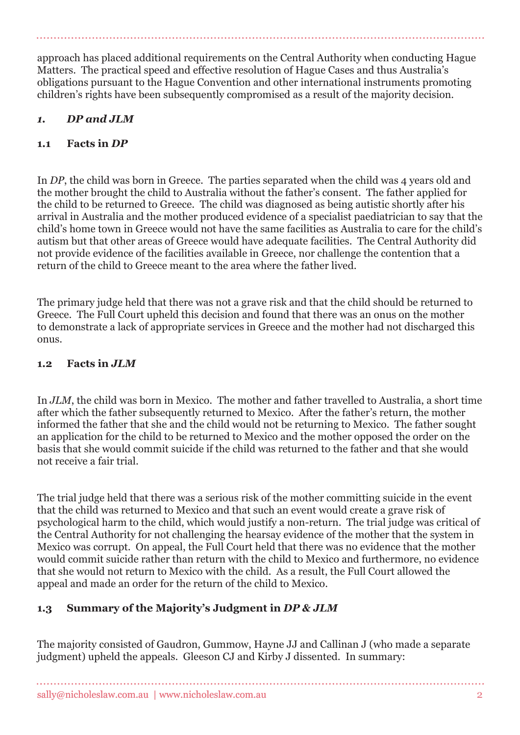approach has placed additional requirements on the Central Authority when conducting Hague Matters. The practical speed and effective resolution of Hague Cases and thus Australia's obligations pursuant to the Hague Convention and other international instruments promoting children's rights have been subsequently compromised as a result of the majority decision.

# *1. DP and JLM*

# **1.1 Facts in** *DP*

In *DP*, the child was born in Greece. The parties separated when the child was 4 years old and the mother brought the child to Australia without the father's consent. The father applied for the child to be returned to Greece. The child was diagnosed as being autistic shortly after his arrival in Australia and the mother produced evidence of a specialist paediatrician to say that the child's home town in Greece would not have the same facilities as Australia to care for the child's autism but that other areas of Greece would have adequate facilities. The Central Authority did not provide evidence of the facilities available in Greece, nor challenge the contention that a return of the child to Greece meant to the area where the father lived.

The primary judge held that there was not a grave risk and that the child should be returned to Greece. The Full Court upheld this decision and found that there was an onus on the mother to demonstrate a lack of appropriate services in Greece and the mother had not discharged this onus.

#### **1.2 Facts in** *JLM*

In *JLM*, the child was born in Mexico. The mother and father travelled to Australia, a short time after which the father subsequently returned to Mexico. After the father's return, the mother informed the father that she and the child would not be returning to Mexico. The father sought an application for the child to be returned to Mexico and the mother opposed the order on the basis that she would commit suicide if the child was returned to the father and that she would not receive a fair trial.

The trial judge held that there was a serious risk of the mother committing suicide in the event that the child was returned to Mexico and that such an event would create a grave risk of psychological harm to the child, which would justify a non-return. The trial judge was critical of the Central Authority for not challenging the hearsay evidence of the mother that the system in Mexico was corrupt. On appeal, the Full Court held that there was no evidence that the mother would commit suicide rather than return with the child to Mexico and furthermore, no evidence that she would not return to Mexico with the child. As a result, the Full Court allowed the appeal and made an order for the return of the child to Mexico.

# **1.3 Summary of the Majority's Judgment in** *DP & JLM*

The majority consisted of Gaudron, Gummow, Hayne JJ and Callinan J (who made a separate judgment) upheld the appeals. Gleeson CJ and Kirby J dissented. In summary: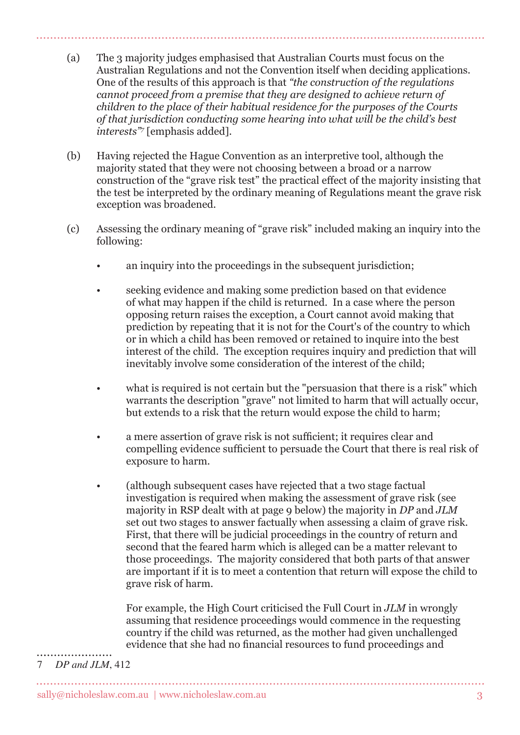- (a) The 3 majority judges emphasised that Australian Courts must focus on the Australian Regulations and not the Convention itself when deciding applications. One of the results of this approach is that *"the construction of the regulations cannot proceed from a premise that they are designed to achieve return of children to the place of their habitual residence for the purposes of the Courts of that jurisdiction conducting some hearing into what will be the child's best interests"* [emphasis added].
- (b) Having rejected the Hague Convention as an interpretive tool, although the majority stated that they were not choosing between a broad or a narrow construction of the "grave risk test" the practical effect of the majority insisting that the test be interpreted by the ordinary meaning of Regulations meant the grave risk exception was broadened.
- (c) Assessing the ordinary meaning of "grave risk" included making an inquiry into the following:
	- an inquiry into the proceedings in the subsequent jurisdiction;
	- seeking evidence and making some prediction based on that evidence of what may happen if the child is returned. In a case where the person opposing return raises the exception, a Court cannot avoid making that prediction by repeating that it is not for the Court's of the country to which or in which a child has been removed or retained to inquire into the best interest of the child. The exception requires inquiry and prediction that will inevitably involve some consideration of the interest of the child;
	- what is required is not certain but the "persuasion that there is a risk" which warrants the description "grave" not limited to harm that will actually occur, but extends to a risk that the return would expose the child to harm;
	- a mere assertion of grave risk is not sufficient; it requires clear and compelling evidence sufficient to persuade the Court that there is real risk of exposure to harm.
	- (although subsequent cases have rejected that a two stage factual investigation is required when making the assessment of grave risk (see majority in RSP dealt with at page 9 below) the majority in *DP* and *JLM*  set out two stages to answer factually when assessing a claim of grave risk. First, that there will be judicial proceedings in the country of return and second that the feared harm which is alleged can be a matter relevant to those proceedings. The majority considered that both parts of that answer are important if it is to meet a contention that return will expose the child to grave risk of harm.

For example, the High Court criticised the Full Court in *JLM* in wrongly assuming that residence proceedings would commence in the requesting country if the child was returned, as the mother had given unchallenged evidence that she had no financial resources to fund proceedings and

*DP and JLM*, 412 $\overline{7}$ 

sally@nicholeslaw.com.au | www.nicholeslaw.com.au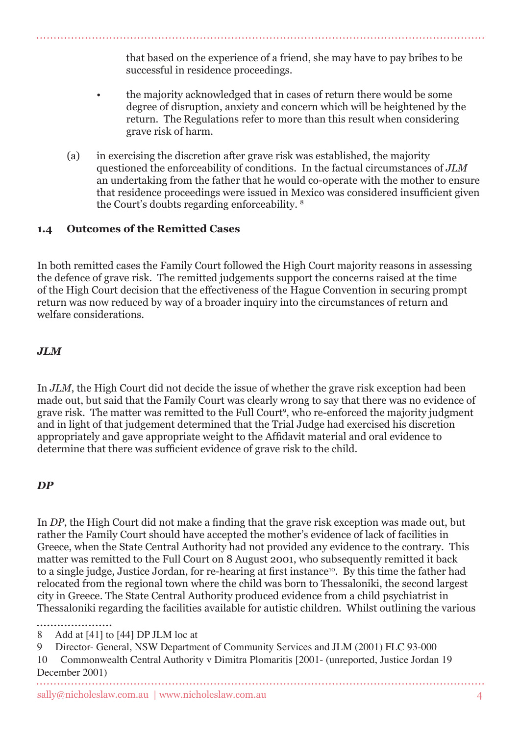that based on the experience of a friend, she may have to pay bribes to be successful in residence proceedings.

- the majority acknowledged that in cases of return there would be some degree of disruption, anxiety and concern which will be heightened by the return. The Regulations refer to more than this result when considering grave risk of harm.
- (a) in exercising the discretion after grave risk was established, the majority questioned the enforceability of conditions. In the factual circumstances of *JLM* an undertaking from the father that he would co-operate with the mother to ensure that residence proceedings were issued in Mexico was considered insufficient given the Court's doubts regarding enforceability.

### **1.4 Outcomes of the Remitted Cases**

In both remitted cases the Family Court followed the High Court majority reasons in assessing the defence of grave risk. The remitted judgements support the concerns raised at the time of the High Court decision that the effectiveness of the Hague Convention in securing prompt return was now reduced by way of a broader inquiry into the circumstances of return and welfare considerations.

### *JLM*

In *JLM*, the High Court did not decide the issue of whether the grave risk exception had been made out, but said that the Family Court was clearly wrong to say that there was no evidence of grave risk. The matter was remitted to the Full Court<sup>9</sup>, who re-enforced the majority judgment and in light of that judgement determined that the Trial Judge had exercised his discretion appropriately and gave appropriate weight to the Affidavit material and oral evidence to determine that there was sufficient evidence of grave risk to the child.

#### *DP*

In *DP*, the High Court did not make a finding that the grave risk exception was made out, but rather the Family Court should have accepted the mother's evidence of lack of facilities in Greece, when the State Central Authority had not provided any evidence to the contrary. This matter was remitted to the Full Court on 8 August 2001, who subsequently remitted it back to a single judge, Justice Jordan, for re-hearing at first instance<sup>10</sup>. By this time the father had relocated from the regional town where the child was born to Thessaloniki, the second largest city in Greece. The State Central Authority produced evidence from a child psychiatrist in Thessaloniki regarding the facilities available for autistic children. Whilst outlining the various

.....................

<sup>8</sup> Add at [41] to [44] DP JLM loc at

 $\overline{Q}$ Director- General, NSW Department of Community Services and JLM (2001) FLC 93-000

<sup>10</sup>  Commonwealth Central Authority v Dimitra Plomaritis [2001- (unreported, Justice Jordan 19 December 2001)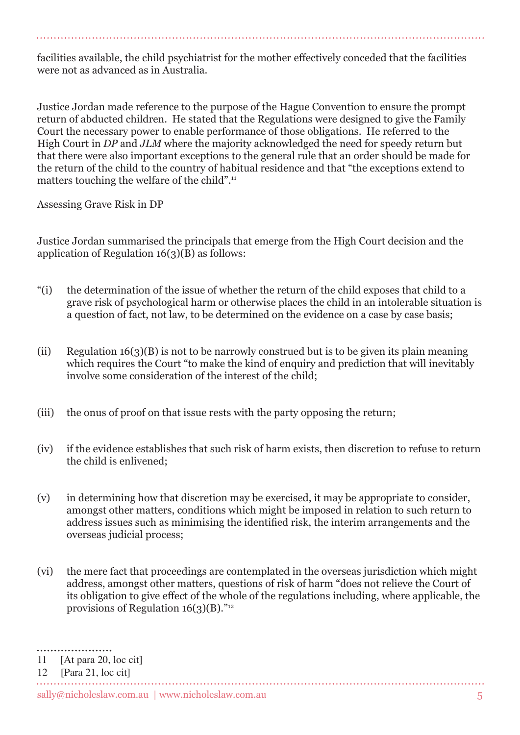facilities available, the child psychiatrist for the mother effectively conceded that the facilities were not as advanced as in Australia.

Justice Jordan made reference to the purpose of the Hague Convention to ensure the prompt return of abducted children. He stated that the Regulations were designed to give the Family Court the necessary power to enable performance of those obligations. He referred to the High Court in *DP* and *JLM* where the majority acknowledged the need for speedy return but that there were also important exceptions to the general rule that an order should be made for the return of the child to the country of habitual residence and that "the exceptions extend to matters touching the welfare of the child".<sup>11</sup>

Assessing Grave Risk in DP

Justice Jordan summarised the principals that emerge from the High Court decision and the application of Regulation 16(3)(B) as follows:

- "(i) the determination of the issue of whether the return of the child exposes that child to a grave risk of psychological harm or otherwise places the child in an intolerable situation is a question of fact, not law, to be determined on the evidence on a case by case basis;
- (ii) Regulation  $16(3)(B)$  is not to be narrowly construed but is to be given its plain meaning which requires the Court "to make the kind of enquiry and prediction that will inevitably involve some consideration of the interest of the child;
- (iii) the onus of proof on that issue rests with the party opposing the return;
- (iv) if the evidence establishes that such risk of harm exists, then discretion to refuse to return the child is enlivened;
- (v) in determining how that discretion may be exercised, it may be appropriate to consider, amongst other matters, conditions which might be imposed in relation to such return to address issues such as minimising the identified risk, the interim arrangements and the overseas judicial process;
- (vi) the mere fact that proceedings are contemplated in the overseas jurisdiction which might address, amongst other matters, questions of risk of harm "does not relieve the Court of its obligation to give effect of the whole of the regulations including, where applicable, the provisions of Regulation  $16(3)(B)$ ."<sup>12</sup>

<sup>11 [</sup>At para 20, loc cit]<br>12 [Para 21 loc cit]

<sup>[</sup>Para 21, loc cit]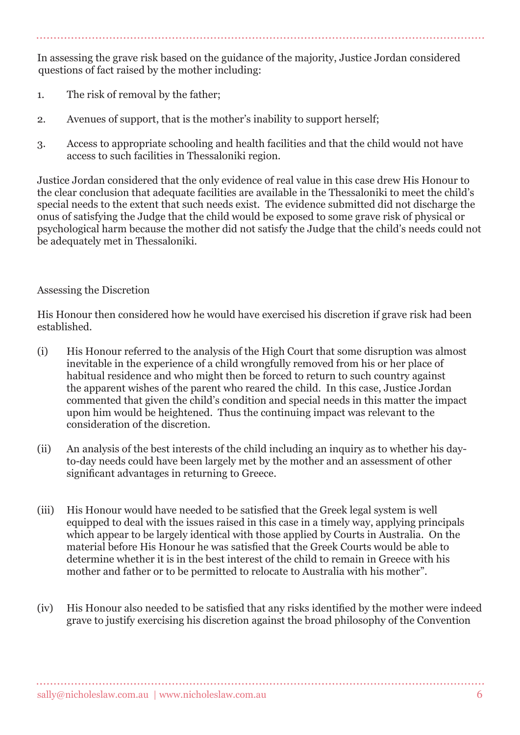In assessing the grave risk based on the guidance of the majority, Justice Jordan considered questions of fact raised by the mother including:

- 1. The risk of removal by the father;
- 2. Avenues of support, that is the mother's inability to support herself;
- 3. Access to appropriate schooling and health facilities and that the child would not have access to such facilities in Thessaloniki region.

Justice Jordan considered that the only evidence of real value in this case drew His Honour to the clear conclusion that adequate facilities are available in the Thessaloniki to meet the child's special needs to the extent that such needs exist. The evidence submitted did not discharge the onus of satisfying the Judge that the child would be exposed to some grave risk of physical or psychological harm because the mother did not satisfy the Judge that the child's needs could not be adequately met in Thessaloniki.

# Assessing the Discretion

His Honour then considered how he would have exercised his discretion if grave risk had been established.

- (i) His Honour referred to the analysis of the High Court that some disruption was almost inevitable in the experience of a child wrongfully removed from his or her place of habitual residence and who might then be forced to return to such country against the apparent wishes of the parent who reared the child. In this case, Justice Jordan commented that given the child's condition and special needs in this matter the impact upon him would be heightened. Thus the continuing impact was relevant to the consideration of the discretion.
- (ii) An analysis of the best interests of the child including an inquiry as to whether his dayto-day needs could have been largely met by the mother and an assessment of other significant advantages in returning to Greece.
- (iii) His Honour would have needed to be satisfied that the Greek legal system is well equipped to deal with the issues raised in this case in a timely way, applying principals which appear to be largely identical with those applied by Courts in Australia. On the material before His Honour he was satisfied that the Greek Courts would be able to determine whether it is in the best interest of the child to remain in Greece with his mother and father or to be permitted to relocate to Australia with his mother".
- (iv) His Honour also needed to be satisfied that any risks identified by the mother were indeed grave to justify exercising his discretion against the broad philosophy of the Convention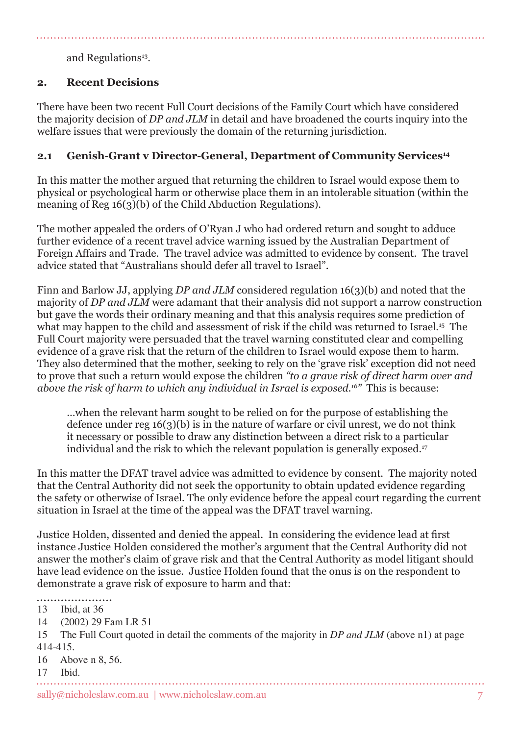and Regulations<sup>13</sup>.

### **2. Recent Decisions**

There have been two recent Full Court decisions of the Family Court which have considered the majority decision of *DP and JLM* in detail and have broadened the courts inquiry into the welfare issues that were previously the domain of the returning jurisdiction.

#### **2.1 Genish-Grant v Director-General, Department of Community Services**<sup>14</sup>

In this matter the mother argued that returning the children to Israel would expose them to physical or psychological harm or otherwise place them in an intolerable situation (within the meaning of Reg 16(3)(b) of the Child Abduction Regulations).

The mother appealed the orders of O'Ryan J who had ordered return and sought to adduce further evidence of a recent travel advice warning issued by the Australian Department of Foreign Affairs and Trade. The travel advice was admitted to evidence by consent. The travel advice stated that "Australians should defer all travel to Israel".

Finn and Barlow JJ, applying *DP and JLM* considered regulation 16(3)(b) and noted that the majority of *DP and JLM* were adamant that their analysis did not support a narrow construction but gave the words their ordinary meaning and that this analysis requires some prediction of what may happen to the child and assessment of risk if the child was returned to Israel.<sup>15</sup> The Full Court majority were persuaded that the travel warning constituted clear and compelling evidence of a grave risk that the return of the children to Israel would expose them to harm. They also determined that the mother, seeking to rely on the 'grave risk' exception did not need to prove that such a return would expose the children *"to a grave risk of direct harm over and above the risk of harm to which any individual in Israel is exposed.<sup>16"</sup> This is because:* 

…when the relevant harm sought to be relied on for the purpose of establishing the defence under reg 16(3)(b) is in the nature of warfare or civil unrest, we do not think it necessary or possible to draw any distinction between a direct risk to a particular individual and the risk to which the relevant population is generally exposed.<sup>17</sup>

In this matter the DFAT travel advice was admitted to evidence by consent. The majority noted that the Central Authority did not seek the opportunity to obtain updated evidence regarding the safety or otherwise of Israel. The only evidence before the appeal court regarding the current situation in Israel at the time of the appeal was the DFAT travel warning.

Justice Holden, dissented and denied the appeal. In considering the evidence lead at first instance Justice Holden considered the mother's argument that the Central Authority did not answer the mother's claim of grave risk and that the Central Authority as model litigant should have lead evidence on the issue. Justice Holden found that the onus is on the respondent to demonstrate a grave risk of exposure to harm and that:

13 Ibid, at 36

14 (2002) 29 Fam LR 51

15 The Full Court quoted in detail the comments of the majority in *DP and JLM* (above n1) at page 414-415.

16 Above n 8, 56.

17 Ibid.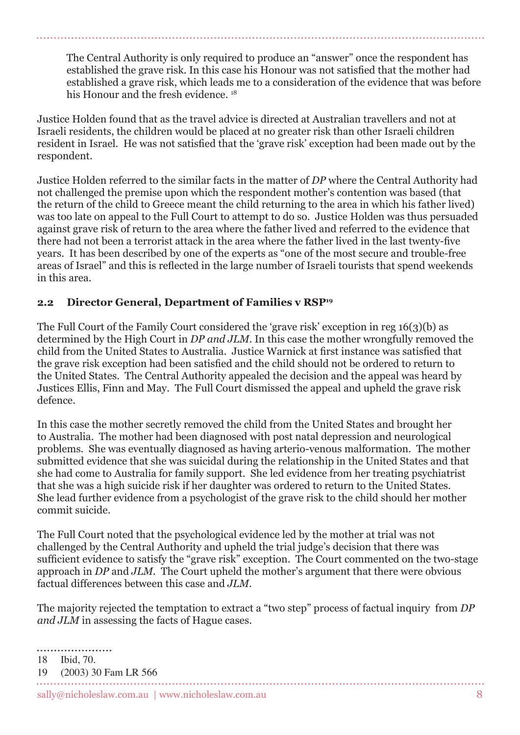The Central Authority is only required to produce an "answer" once the respondent has established the grave risk. In this case his Honour was not satisfied that the mother had established a grave risk, which leads me to a consideration of the evidence that was before his Honour and the fresh evidence.<sup>18</sup>

Justice Holden found that as the travel advice is directed at Australian travellers and not at Israeli residents, the children would be placed at no greater risk than other Israeli children resident in Israel. He was not satisfied that the 'grave risk' exception had been made out by the respondent.

Justice Holden referred to the similar facts in the matter of *DP* where the Central Authority had not challenged the premise upon which the respondent mother's contention was based (that the return of the child to Greece meant the child returning to the area in which his father lived) was too late on appeal to the Full Court to attempt to do so. Justice Holden was thus persuaded against grave risk of return to the area where the father lived and referred to the evidence that there had not been a terrorist attack in the area where the father lived in the last twenty-five years. It has been described by one of the experts as "one of the most secure and trouble-free areas of Israel" and this is reflected in the large number of Israeli tourists that spend weekends in this area.

### **2.2 Director General, Department of Families v RSP19**

The Full Court of the Family Court considered the 'grave risk' exception in reg 16(3)(b) as determined by the High Court in *DP and JLM*. In this case the mother wrongfully removed the child from the United States to Australia. Justice Warnick at first instance was satisfied that the grave risk exception had been satisfied and the child should not be ordered to return to the United States. The Central Authority appealed the decision and the appeal was heard by Justices Ellis, Finn and May. The Full Court dismissed the appeal and upheld the grave risk defence.

In this case the mother secretly removed the child from the United States and brought her to Australia. The mother had been diagnosed with post natal depression and neurological problems. She was eventually diagnosed as having arterio-venous malformation. The mother submitted evidence that she was suicidal during the relationship in the United States and that she had come to Australia for family support. She led evidence from her treating psychiatrist that she was a high suicide risk if her daughter was ordered to return to the United States. She lead further evidence from a psychologist of the grave risk to the child should her mother commit suicide.

The Full Court noted that the psychological evidence led by the mother at trial was not challenged by the Central Authority and upheld the trial judge's decision that there was sufficient evidence to satisfy the "grave risk" exception. The Court commented on the two-stage approach in *DP* and *JLM.* The Court upheld the mother's argument that there were obvious factual differences between this case and *JLM*.

The majority rejected the temptation to extract a "two step" process of factual inquiry from *DP and JLM* in assessing the facts of Hague cases.

<sup>18</sup>  Ibid, 70.

<sup>19</sup>  (2003) 30 Fam LR 566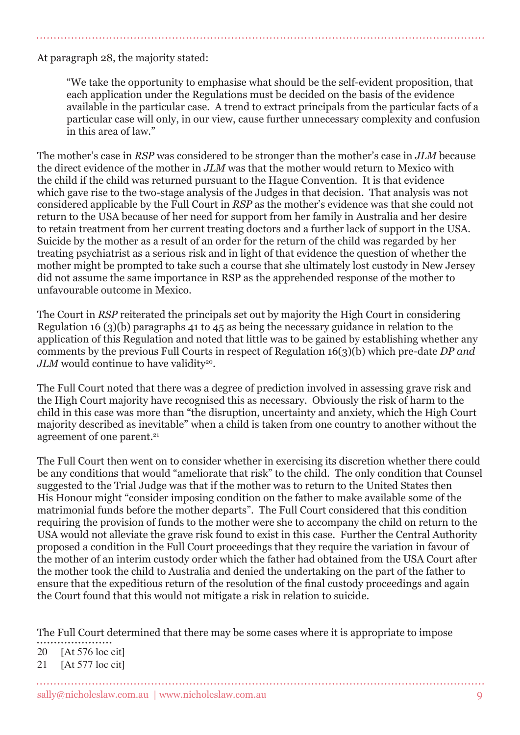At paragraph 28, the majority stated:

"We take the opportunity to emphasise what should be the self-evident proposition, that each application under the Regulations must be decided on the basis of the evidence available in the particular case. A trend to extract principals from the particular facts of a particular case will only, in our view, cause further unnecessary complexity and confusion in this area of law."

The mother's case in *RSP* was considered to be stronger than the mother's case in *JLM* because the direct evidence of the mother in *JLM* was that the mother would return to Mexico with the child if the child was returned pursuant to the Hague Convention. It is that evidence which gave rise to the two-stage analysis of the Judges in that decision. That analysis was not considered applicable by the Full Court in *RSP* as the mother's evidence was that she could not return to the USA because of her need for support from her family in Australia and her desire to retain treatment from her current treating doctors and a further lack of support in the USA. Suicide by the mother as a result of an order for the return of the child was regarded by her treating psychiatrist as a serious risk and in light of that evidence the question of whether the mother might be prompted to take such a course that she ultimately lost custody in New Jersey did not assume the same importance in RSP as the apprehended response of the mother to unfavourable outcome in Mexico.

The Court in *RSP* reiterated the principals set out by majority the High Court in considering Regulation 16 (3)(b) paragraphs 41 to 45 as being the necessary guidance in relation to the application of this Regulation and noted that little was to be gained by establishing whether any comments by the previous Full Courts in respect of Regulation 16(3)(b) which pre-date *DP and*   $JLM$  would continue to have validity<sup>20</sup>.

The Full Court noted that there was a degree of prediction involved in assessing grave risk and the High Court majority have recognised this as necessary. Obviously the risk of harm to the child in this case was more than "the disruption, uncertainty and anxiety, which the High Court majority described as inevitable" when a child is taken from one country to another without the agreement of one parent.<sup>21</sup>

The Full Court then went on to consider whether in exercising its discretion whether there could be any conditions that would "ameliorate that risk" to the child. The only condition that Counsel suggested to the Trial Judge was that if the mother was to return to the United States then His Honour might "consider imposing condition on the father to make available some of the matrimonial funds before the mother departs". The Full Court considered that this condition requiring the provision of funds to the mother were she to accompany the child on return to the USA would not alleviate the grave risk found to exist in this case. Further the Central Authority proposed a condition in the Full Court proceedings that they require the variation in favour of the mother of an interim custody order which the father had obtained from the USA Court after the mother took the child to Australia and denied the undertaking on the part of the father to ensure that the expeditious return of the resolution of the final custody proceedings and again the Court found that this would not mitigate a risk in relation to suicide.

The Full Court determined that there may be some cases where it is appropriate to impose

20 [At 576 loc cit]

21 **[At 577 loc cit]**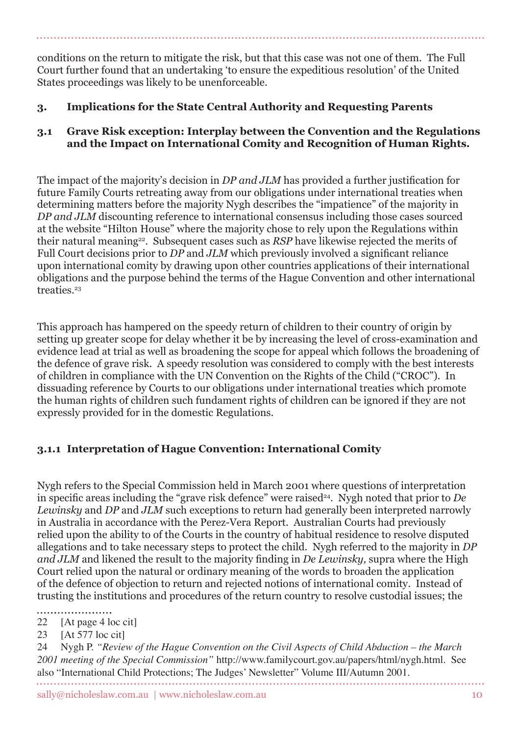conditions on the return to mitigate the risk, but that this case was not one of them. The Full Court further found that an undertaking 'to ensure the expeditious resolution' of the United States proceedings was likely to be unenforceable.

# **3. Implications for the State Central Authority and Requesting Parents**

### **3.1 Grave Risk exception: Interplay between the Convention and the Regulations and the Impact on International Comity and Recognition of Human Rights.**

The impact of the majority's decision in *DP and JLM* has provided a further justification for future Family Courts retreating away from our obligations under international treaties when determining matters before the majority Nygh describes the "impatience" of the majority in *DP and JLM* discounting reference to international consensus including those cases sourced at the website "Hilton House" where the majority chose to rely upon the Regulations within their natural meaning<sup>22</sup>. Subsequent cases such as *RSP* have likewise rejected the merits of Full Court decisions prior to *DP* and *JLM* which previously involved a significant reliance upon international comity by drawing upon other countries applications of their international obligations and the purpose behind the terms of the Hague Convention and other international treaties.<sup>23</sup>

This approach has hampered on the speedy return of children to their country of origin by setting up greater scope for delay whether it be by increasing the level of cross-examination and evidence lead at trial as well as broadening the scope for appeal which follows the broadening of the defence of grave risk. A speedy resolution was considered to comply with the best interests of children in compliance with the UN Convention on the Rights of the Child ("CROC"). In dissuading reference by Courts to our obligations under international treaties which promote the human rights of children such fundament rights of children can be ignored if they are not expressly provided for in the domestic Regulations.

# **3.1.1 Interpretation of Hague Convention: International Comity**

Nygh refers to the Special Commission held in March 2001 where questions of interpretation in specific areas including the "grave risk defence" were raised<sup>24</sup>. Nygh noted that prior to *De Lewinsky* and *DP* and *JLM* such exceptions to return had generally been interpreted narrowly in Australia in accordance with the Perez-Vera Report. Australian Courts had previously relied upon the ability to of the Courts in the country of habitual residence to resolve disputed allegations and to take necessary steps to protect the child. Nygh referred to the majority in *DP and JLM* and likened the result to the majority finding in *De Lewinsky,* supra where the High Court relied upon the natural or ordinary meaning of the words to broaden the application of the defence of objection to return and rejected notions of international comity. Instead of trusting the institutions and procedures of the return country to resolve custodial issues; the

24 Nygh P. *"Review of the Hague Convention on the Civil Aspects of Child Abduction – the March 2001 meeting of the Special Commission"* http://www.familycourt.gov.au/papers/html/nygh.html. See also "International Child Protections; The Judges' Newsletter" Volume III/Autumn 2001.

<sup>22 [</sup>At page 4 loc cit]

<sup>23</sup> [At 577 loc cit]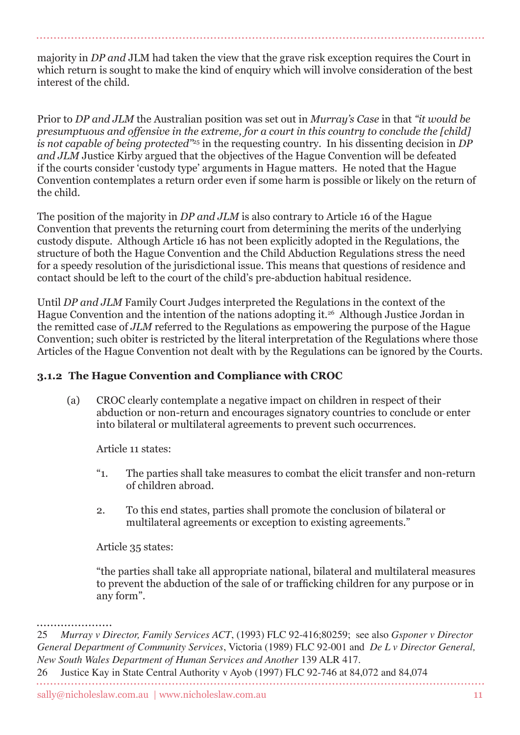majority in *DP and* JLM had taken the view that the grave risk exception requires the Court in which return is sought to make the kind of enquiry which will involve consideration of the best interest of the child.

Prior to *DP and JLM* the Australian position was set out in *Murray's Case* in that *"it would be presumptuous and offensive in the extreme, for a court in this country to conclude the [child] is not capable of being protected''*25 in the requesting country. In his dissenting decision in *DP and JLM* Justice Kirby argued that the objectives of the Hague Convention will be defeated if the courts consider 'custody type' arguments in Hague matters. He noted that the Hague Convention contemplates a return order even if some harm is possible or likely on the return of the child.

The position of the majority in *DP and JLM* is also contrary to Article 16 of the Hague Convention that prevents the returning court from determining the merits of the underlying custody dispute. Although Article 16 has not been explicitly adopted in the Regulations, the structure of both the Hague Convention and the Child Abduction Regulations stress the need for a speedy resolution of the jurisdictional issue. This means that questions of residence and contact should be left to the court of the child's pre-abduction habitual residence.

Until *DP and JLM* Family Court Judges interpreted the Regulations in the context of the Hague Convention and the intention of the nations adopting it.26 Although Justice Jordan in the remitted case of *JLM* referred to the Regulations as empowering the purpose of the Hague Convention; such obiter is restricted by the literal interpretation of the Regulations where those Articles of the Hague Convention not dealt with by the Regulations can be ignored by the Courts.

# **3.1.2 The Hague Convention and Compliance with CROC**

(a) CROC clearly contemplate a negative impact on children in respect of their abduction or non-return and encourages signatory countries to conclude or enter into bilateral or multilateral agreements to prevent such occurrences.

Article 11 states:

- "1. The parties shall take measures to combat the elicit transfer and non-return of children abroad.
- 2. To this end states, parties shall promote the conclusion of bilateral or multilateral agreements or exception to existing agreements."

Article 35 states:

"the parties shall take all appropriate national, bilateral and multilateral measures to prevent the abduction of the sale of or trafficking children for any purpose or in any form".

26 Justice Kay in State Central Authority v Ayob (1997) FLC 92-746 at 84,072 and 84,074

. . . . . . . . . . .

<sup>25</sup> *Murray v Director, Family Services ACT*, (1993) FLC 92-416;80259; see also *Gsponer v Director General Department of Community Services*, Victoria (1989) FLC 92-001 and *De L v Director General, New South Wales Department of Human Services and Another* 139 ALR 417.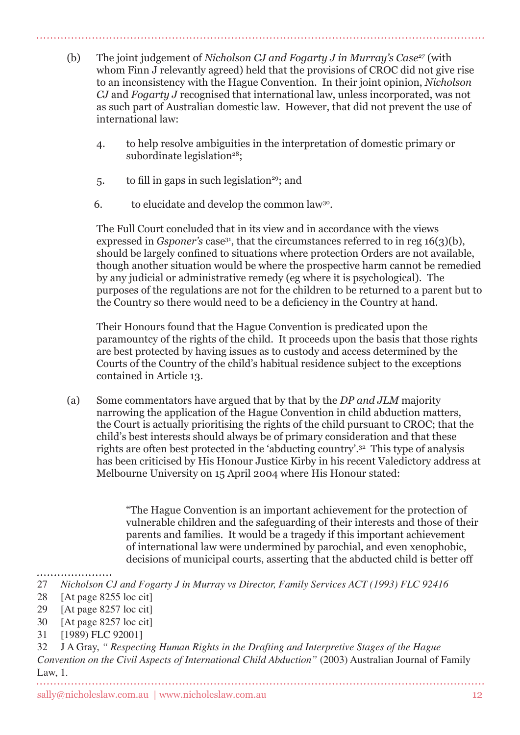- (b) The joint judgement of *Nicholson CJ and Fogarty J in Murray's Case27* (with whom Finn J relevantly agreed) held that the provisions of CROC did not give rise to an inconsistency with the Hague Convention. In their joint opinion, *Nicholson CJ* and *Fogarty J* recognised that international law, unless incorporated, was not as such part of Australian domestic law. However, that did not prevent the use of international law:
	- 4. to help resolve ambiguities in the interpretation of domestic primary or subordinate legislation<sup>28</sup>;
	- $5.$  to fill in gaps in such legislation<sup>29</sup>; and
	- 6. to elucidate and develop the common law<sup>30</sup>.

The Full Court concluded that in its view and in accordance with the views expressed in *Gsponer's* case<sup>31</sup>, that the circumstances referred to in reg 16(3)(b), should be largely confined to situations where protection Orders are not available, though another situation would be where the prospective harm cannot be remedied by any judicial or administrative remedy (eg where it is psychological). The purposes of the regulations are not for the children to be returned to a parent but to the Country so there would need to be a deficiency in the Country at hand.

Their Honours found that the Hague Convention is predicated upon the paramountcy of the rights of the child. It proceeds upon the basis that those rights are best protected by having issues as to custody and access determined by the Courts of the Country of the child's habitual residence subject to the exceptions contained in Article 13.

(a) Some commentators have argued that by that by the *DP and JLM* majority narrowing the application of the Hague Convention in child abduction matters, the Court is actually prioritising the rights of the child pursuant to CROC; that the child's best interests should always be of primary consideration and that these rights are often best protected in the 'abducting country'.32 This type of analysis has been criticised by His Honour Justice Kirby in his recent Valedictory address at Melbourne University on 15 April 2004 where His Honour stated:

> "The Hague Convention is an important achievement for the protection of vulnerable children and the safeguarding of their interests and those of their parents and families. It would be a tragedy if this important achievement of international law were undermined by parochial, and even xenophobic, decisions of municipal courts, asserting that the abducted child is better off

#### ....................

<sup>27</sup>  *Nicholson CJ and Fogarty J in Murray vs Director, Family Services ACT (1993) FLC 92416*

<sup>28 [</sup>At page 8255 loc cit]<br>29 [At page 8257 loc cit]

 $[At page 8257 loc cit]$ 

<sup>30</sup>  [At page 8257 loc cit]

<sup>31</sup> [1989) FLC 92001]

<sup>32</sup> J A Gray, *" Respecting Human Rights in the Drafting and Interpretive Stages of the Hague Convention on the Civil Aspects of International Child Abduction"* (2003) Australian Journal of Family Law  $1$ .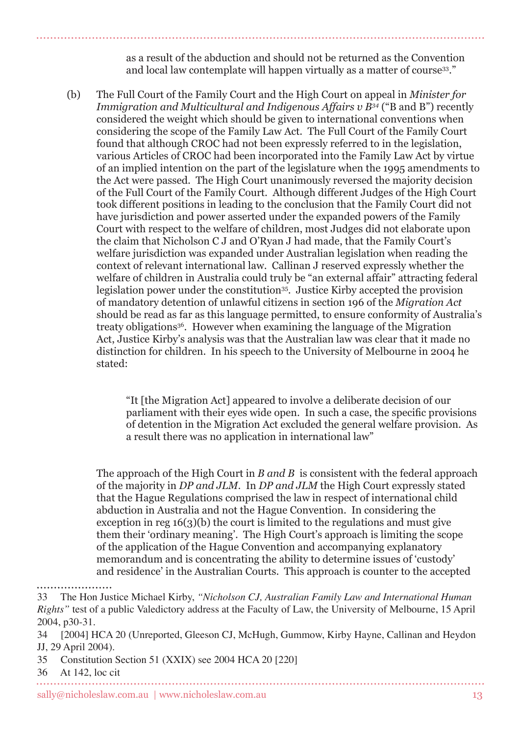as a result of the abduction and should not be returned as the Convention and local law contemplate will happen virtually as a matter of course<sup>33</sup>."

(b) The Full Court of the Family Court and the High Court on appeal in *Minister for Immigration and Multicultural and Indigenous Affairs v B34* ("B and B") recently considered the weight which should be given to international conventions when considering the scope of the Family Law Act. The Full Court of the Family Court found that although CROC had not been expressly referred to in the legislation, various Articles of CROC had been incorporated into the Family Law Act by virtue of an implied intention on the part of the legislature when the 1995 amendments to the Act were passed. The High Court unanimously reversed the majority decision of the Full Court of the Family Court. Although different Judges of the High Court took different positions in leading to the conclusion that the Family Court did not have jurisdiction and power asserted under the expanded powers of the Family Court with respect to the welfare of children, most Judges did not elaborate upon the claim that Nicholson C J and O'Ryan J had made, that the Family Court's welfare jurisdiction was expanded under Australian legislation when reading the context of relevant international law. Callinan J reserved expressly whether the welfare of children in Australia could truly be "an external affair" attracting federal legislation power under the constitution<sup>35</sup>. Justice Kirby accepted the provision of mandatory detention of unlawful citizens in section 196 of the *Migration Act* should be read as far as this language permitted, to ensure conformity of Australia's treaty obligations<sup>36</sup>. However when examining the language of the Migration Act, Justice Kirby's analysis was that the Australian law was clear that it made no distinction for children. In his speech to the University of Melbourne in 2004 he stated:

> "It [the Migration Act] appeared to involve a deliberate decision of our parliament with their eyes wide open. In such a case, the specific provisions of detention in the Migration Act excluded the general welfare provision. As a result there was no application in international law"

The approach of the High Court in *B and B* is consistent with the federal approach of the majority in *DP and JLM*. In *DP and JLM* the High Court expressly stated that the Hague Regulations comprised the law in respect of international child abduction in Australia and not the Hague Convention. In considering the exception in reg 16(3)(b) the court is limited to the regulations and must give them their 'ordinary meaning'. The High Court's approach is limiting the scope of the application of the Hague Convention and accompanying explanatory memorandum and is concentrating the ability to determine issues of 'custody' and residence' in the Australian Courts. This approach is counter to the accepted

36 At 142, loc cit

<sup>33</sup> The Hon Justice Michael Kirby, *"Nicholson CJ, Australian Family Law and International Human Rights*" test of a public Valedictory address at the Faculty of Law, the University of Melbourne, 15 April 2004, p30-31.

<sup>34 [2004]</sup> HCA 20 (Unreported, Gleeson CJ, McHugh, Gummow, Kirby Hayne, Callinan and Heydon JJ, 29 April 2004).

<sup>35</sup> Constitution Section 51 (XXIX) see 2004 HCA 20 [220]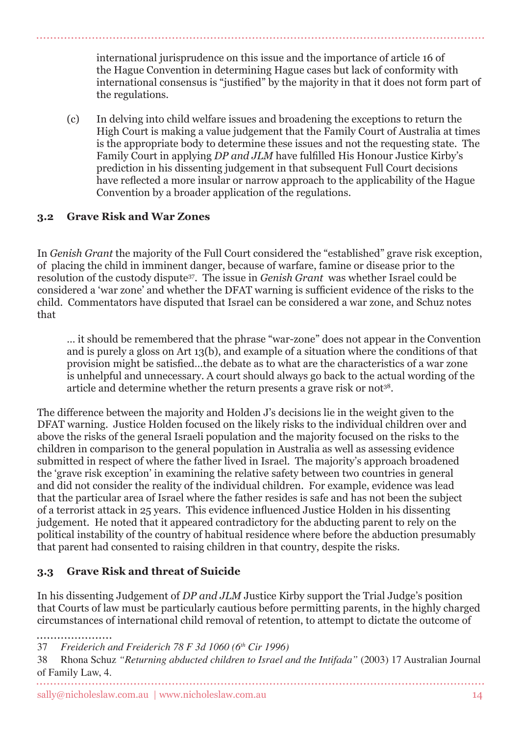international jurisprudence on this issue and the importance of article 16 of the Hague Convention in determining Hague cases but lack of conformity with international consensus is "justified" by the majority in that it does not form part of the regulations.

(c) In delving into child welfare issues and broadening the exceptions to return the High Court is making a value judgement that the Family Court of Australia at times is the appropriate body to determine these issues and not the requesting state. The Family Court in applying *DP and JLM* have fulfilled His Honour Justice Kirby's prediction in his dissenting judgement in that subsequent Full Court decisions have reflected a more insular or narrow approach to the applicability of the Hague Convention by a broader application of the regulations.

# **3.2 Grave Risk and War Zones**

In *Genish Grant* the majority of the Full Court considered the "established" grave risk exception, of placing the child in imminent danger, because of warfare, famine or disease prior to the resolution of the custody dispute37 . The issue in *Genish Grant* was whether Israel could be considered a 'war zone' and whether the DFAT warning is sufficient evidence of the risks to the child. Commentators have disputed that Israel can be considered a war zone, and Schuz notes that

… it should be remembered that the phrase "war-zone" does not appear in the Convention and is purely a gloss on Art 13(b), and example of a situation where the conditions of that provision might be satisfied…the debate as to what are the characteristics of a war zone is unhelpful and unnecessary. A court should always go back to the actual wording of the article and determine whether the return presents a grave risk or not<sup>38</sup>.

The difference between the majority and Holden J's decisions lie in the weight given to the DFAT warning. Justice Holden focused on the likely risks to the individual children over and above the risks of the general Israeli population and the majority focused on the risks to the children in comparison to the general population in Australia as well as assessing evidence submitted in respect of where the father lived in Israel. The majority's approach broadened the 'grave risk exception' in examining the relative safety between two countries in general and did not consider the reality of the individual children. For example, evidence was lead that the particular area of Israel where the father resides is safe and has not been the subject of a terrorist attack in 25 years. This evidence influenced Justice Holden in his dissenting judgement. He noted that it appeared contradictory for the abducting parent to rely on the political instability of the country of habitual residence where before the abduction presumably that parent had consented to raising children in that country, despite the risks.

# **3.3 Grave Risk and threat of Suicide**

In his dissenting Judgement of *DP and JLM* Justice Kirby support the Trial Judge's position that Courts of law must be particularly cautious before permitting parents, in the highly charged circumstances of international child removal of retention, to attempt to dictate the outcome of

<sup>37</sup>  *Freiderich and Freiderich 78 F 3d 1060 (6th Cir 1996)*

<sup>38</sup>  Rhona Schuz *"Returning abducted children to Israel and the Intifada"* (2003) 17 Australian Journal of Family Law, 4.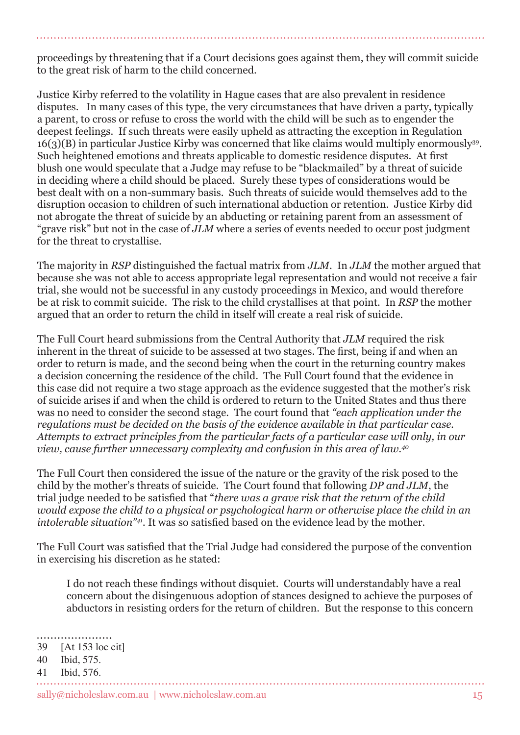proceedings by threatening that if a Court decisions goes against them, they will commit suicide to the great risk of harm to the child concerned.

Justice Kirby referred to the volatility in Hague cases that are also prevalent in residence disputes. In many cases of this type, the very circumstances that have driven a party, typically a parent, to cross or refuse to cross the world with the child will be such as to engender the deepest feelings. If such threats were easily upheld as attracting the exception in Regulation 16(3)(B) in particular Justice Kirby was concerned that like claims would multiply enormously<sup>39</sup>. Such heightened emotions and threats applicable to domestic residence disputes. At first blush one would speculate that a Judge may refuse to be "blackmailed" by a threat of suicide in deciding where a child should be placed. Surely these types of considerations would be best dealt with on a non-summary basis. Such threats of suicide would themselves add to the disruption occasion to children of such international abduction or retention. Justice Kirby did not abrogate the threat of suicide by an abducting or retaining parent from an assessment of "grave risk" but not in the case of *JLM* where a series of events needed to occur post judgment for the threat to crystallise.

The majority in *RSP* distinguished the factual matrix from *JLM*. In *JLM* the mother argued that because she was not able to access appropriate legal representation and would not receive a fair trial, she would not be successful in any custody proceedings in Mexico, and would therefore be at risk to commit suicide. The risk to the child crystallises at that point. In *RSP* the mother argued that an order to return the child in itself will create a real risk of suicide.

The Full Court heard submissions from the Central Authority that *JLM* required the risk inherent in the threat of suicide to be assessed at two stages. The first, being if and when an order to return is made, and the second being when the court in the returning country makes a decision concerning the residence of the child. The Full Court found that the evidence in this case did not require a two stage approach as the evidence suggested that the mother's risk of suicide arises if and when the child is ordered to return to the United States and thus there was no need to consider the second stage. The court found that *"each application under the regulations must be decided on the basis of the evidence available in that particular case. Attempts to extract principles from the particular facts of a particular case will only, in our view, cause further unnecessary complexity and confusion in this area of law.40*

The Full Court then considered the issue of the nature or the gravity of the risk posed to the child by the mother's threats of suicide. The Court found that following *DP and JLM*, the trial judge needed to be satisfied that "*there was a grave risk that the return of the child would expose the child to a physical or psychological harm or otherwise place the child in an intolerable situation"41.* It was so satisfied based on the evidence lead by the mother.

The Full Court was satisfied that the Trial Judge had considered the purpose of the convention in exercising his discretion as he stated:

I do not reach these findings without disquiet. Courts will understandably have a real concern about the disingenuous adoption of stances designed to achieve the purposes of abductors in resisting orders for the return of children. But the response to this concern

<sup>. . . . . . . . . . . . . . . .</sup> 39 [At 153 loc cit]

<sup>40</sup>  Ibid, 575.

<sup>41</sup> Ibid, 576.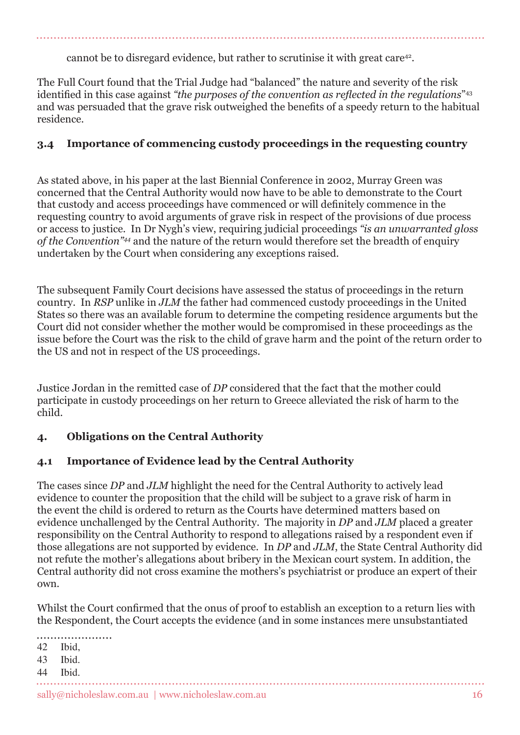cannot be to disregard evidence, but rather to scrutinise it with great care<sup>42</sup>.

The Full Court found that the Trial Judge had "balanced" the nature and severity of the risk identified in this case against *"the purposes of the convention as reflected in the regulations*"43 and was persuaded that the grave risk outweighed the benefits of a speedy return to the habitual residence.

# **3.4 Importance of commencing custody proceedings in the requesting country**

As stated above, in his paper at the last Biennial Conference in 2002, Murray Green was concerned that the Central Authority would now have to be able to demonstrate to the Court that custody and access proceedings have commenced or will definitely commence in the requesting country to avoid arguments of grave risk in respect of the provisions of due process or access to justice. In Dr Nygh's view, requiring judicial proceedings *"is an unwarranted gloss of the Convention"44* and the nature of the return would therefore set the breadth of enquiry undertaken by the Court when considering any exceptions raised.

The subsequent Family Court decisions have assessed the status of proceedings in the return country. In *RSP* unlike in *JLM* the father had commenced custody proceedings in the United States so there was an available forum to determine the competing residence arguments but the Court did not consider whether the mother would be compromised in these proceedings as the issue before the Court was the risk to the child of grave harm and the point of the return order to the US and not in respect of the US proceedings.

Justice Jordan in the remitted case of *DP* considered that the fact that the mother could participate in custody proceedings on her return to Greece alleviated the risk of harm to the child.

# **4. Obligations on the Central Authority**

# **4.1 Importance of Evidence lead by the Central Authority**

The cases since *DP* and *JLM* highlight the need for the Central Authority to actively lead evidence to counter the proposition that the child will be subject to a grave risk of harm in the event the child is ordered to return as the Courts have determined matters based on evidence unchallenged by the Central Authority. The majority in *DP* and *JLM* placed a greater responsibility on the Central Authority to respond to allegations raised by a respondent even if those allegations are not supported by evidence. In *DP* and *JLM*, the State Central Authority did not refute the mother's allegations about bribery in the Mexican court system. In addition, the Central authority did not cross examine the mothers's psychiatrist or produce an expert of their own.

Whilst the Court confirmed that the onus of proof to establish an exception to a return lies with the Respondent, the Court accepts the evidence (and in some instances mere unsubstantiated

..........

42 Ibid,

43 Ibid.

44 Ibid.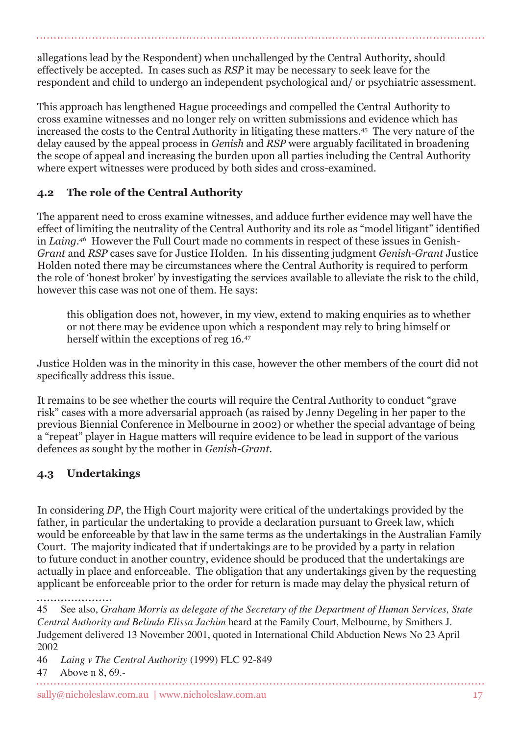allegations lead by the Respondent) when unchallenged by the Central Authority, should effectively be accepted. In cases such as *RSP* it may be necessary to seek leave for the respondent and child to undergo an independent psychological and/ or psychiatric assessment.

This approach has lengthened Hague proceedings and compelled the Central Authority to cross examine witnesses and no longer rely on written submissions and evidence which has increased the costs to the Central Authority in litigating these matters.45 The very nature of the delay caused by the appeal process in *Genish* and *RSP* were arguably facilitated in broadening the scope of appeal and increasing the burden upon all parties including the Central Authority where expert witnesses were produced by both sides and cross-examined.

# **4.2 The role of the Central Authority**

The apparent need to cross examine witnesses, and adduce further evidence may well have the effect of limiting the neutrality of the Central Authority and its role as "model litigant" identified in *Laing.46* However the Full Court made no comments in respect of these issues in Genish*-Grant* and *RSP* cases save for Justice Holden. In his dissenting judgment *Genish-Grant* Justice Holden noted there may be circumstances where the Central Authority is required to perform the role of 'honest broker' by investigating the services available to alleviate the risk to the child, however this case was not one of them. He says:

this obligation does not, however, in my view, extend to making enquiries as to whether or not there may be evidence upon which a respondent may rely to bring himself or herself within the exceptions of reg 16.47

Justice Holden was in the minority in this case, however the other members of the court did not specifically address this issue.

It remains to be see whether the courts will require the Central Authority to conduct "grave risk" cases with a more adversarial approach (as raised by Jenny Degeling in her paper to the previous Biennial Conference in Melbourne in 2002) or whether the special advantage of being a "repeat" player in Hague matters will require evidence to be lead in support of the various defences as sought by the mother in *Genish-Grant.*

# **4.3 Undertakings**

In considering *DP*, the High Court majority were critical of the undertakings provided by the father, in particular the undertaking to provide a declaration pursuant to Greek law, which would be enforceable by that law in the same terms as the undertakings in the Australian Family Court. The majority indicated that if undertakings are to be provided by a party in relation to future conduct in another country, evidence should be produced that the undertakings are actually in place and enforceable. The obligation that any undertakings given by the requesting applicant be enforceable prior to the order for return is made may delay the physical return of

45 See also, *Graham Morris as delegate of the Secretary of the Department of Human Services, State Central Authority and Belinda Elissa Jachim* heard at the Family Court, Melbourne, by Smithers J. Judgement delivered 13 November 2001, quoted in International Child Abduction News No 23 April 2002

<sup>46</sup>  *Laing v The Central Authority* (1999) FLC 92-849

<sup>47</sup>  Above n 8, 69.-